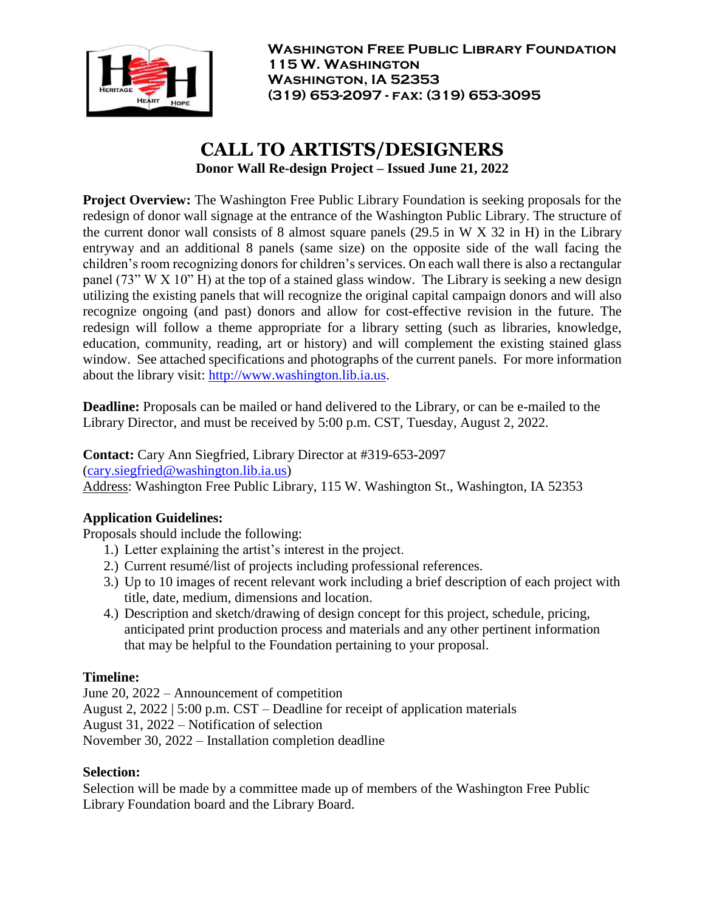

# **CALL TO ARTISTS/DESIGNERS Donor Wall Re-design Project – Issued June 21, 2022**

**Project Overview:** The Washington Free Public Library Foundation is seeking proposals for the redesign of donor wall signage at the entrance of the Washington Public Library. The structure of the current donor wall consists of 8 almost square panels (29.5 in W X 32 in H) in the Library entryway and an additional 8 panels (same size) on the opposite side of the wall facing the children's room recognizing donors for children's services. On each wall there is also a rectangular panel (73" W X 10" H) at the top of a stained glass window. The Library is seeking a new design utilizing the existing panels that will recognize the original capital campaign donors and will also recognize ongoing (and past) donors and allow for cost-effective revision in the future. The redesign will follow a theme appropriate for a library setting (such as libraries, knowledge, education, community, reading, art or history) and will complement the existing stained glass window. See attached specifications and photographs of the current panels. For more information about the library visit: [http://www.washington.lib.ia.us.](http://www.washington.lib.ia.us/)

**Deadline:** Proposals can be mailed or hand delivered to the Library, or can be e-mailed to the Library Director, and must be received by 5:00 p.m. CST, Tuesday, August 2, 2022.

**Contact:** Cary Ann Siegfried, Library Director at #319-653-2097 [\(cary.siegfried@washington.lib.ia.us\)](mailto:cary.siegfried@washington.lib.ia.us)

Address: Washington Free Public Library, 115 W. Washington St., Washington, IA 52353

### **Application Guidelines:**

Proposals should include the following:

- 1.) Letter explaining the artist's interest in the project.
- 2.) Current resumé/list of projects including professional references.
- 3.) Up to 10 images of recent relevant work including a brief description of each project with title, date, medium, dimensions and location.
- 4.) Description and sketch/drawing of design concept for this project, schedule, pricing, anticipated print production process and materials and any other pertinent information that may be helpful to the Foundation pertaining to your proposal.

### **Timeline:**

June 20, 2022 – Announcement of competition August 2, 2022 | 5:00 p.m. CST – Deadline for receipt of application materials August 31, 2022 – Notification of selection November 30, 2022 – Installation completion deadline

### **Selection:**

Selection will be made by a committee made up of members of the Washington Free Public Library Foundation board and the Library Board.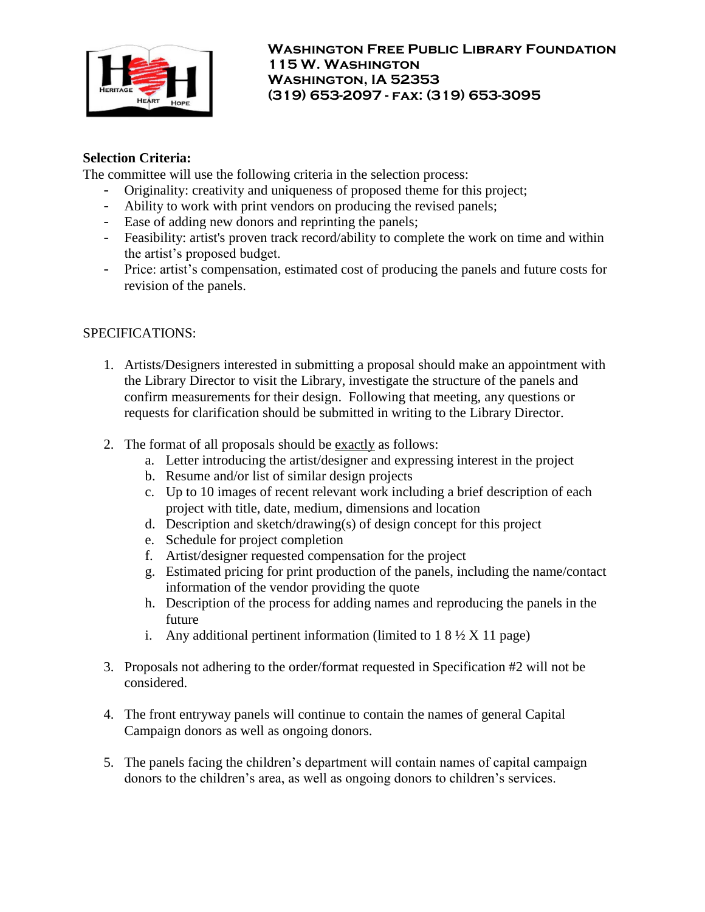

### **Selection Criteria:**

The committee will use the following criteria in the selection process:

- Originality: creativity and uniqueness of proposed theme for this project;
- Ability to work with print vendors on producing the revised panels;
- Ease of adding new donors and reprinting the panels;
- Feasibility: artist's proven track record/ability to complete the work on time and within the artist's proposed budget.
- Price: artist's compensation, estimated cost of producing the panels and future costs for revision of the panels.

## SPECIFICATIONS:

- 1. Artists/Designers interested in submitting a proposal should make an appointment with the Library Director to visit the Library, investigate the structure of the panels and confirm measurements for their design. Following that meeting, any questions or requests for clarification should be submitted in writing to the Library Director.
- 2. The format of all proposals should be exactly as follows:
	- a. Letter introducing the artist/designer and expressing interest in the project
	- b. Resume and/or list of similar design projects
	- c. Up to 10 images of recent relevant work including a brief description of each project with title, date, medium, dimensions and location
	- d. Description and sketch/drawing(s) of design concept for this project
	- e. Schedule for project completion
	- f. Artist/designer requested compensation for the project
	- g. Estimated pricing for print production of the panels, including the name/contact information of the vendor providing the quote
	- h. Description of the process for adding names and reproducing the panels in the future
	- i. Any additional pertinent information (limited to  $18\frac{1}{2}$  X 11 page)
- 3. Proposals not adhering to the order/format requested in Specification #2 will not be considered.
- 4. The front entryway panels will continue to contain the names of general Capital Campaign donors as well as ongoing donors.
- 5. The panels facing the children's department will contain names of capital campaign donors to the children's area, as well as ongoing donors to children's services.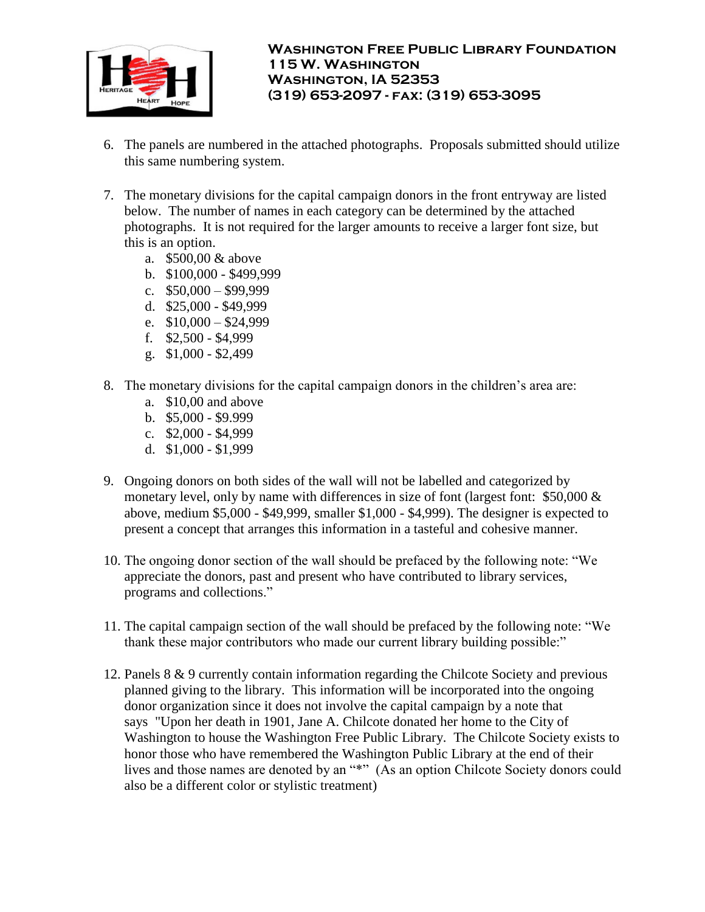

- 6. The panels are numbered in the attached photographs. Proposals submitted should utilize this same numbering system.
- 7. The monetary divisions for the capital campaign donors in the front entryway are listed below. The number of names in each category can be determined by the attached photographs. It is not required for the larger amounts to receive a larger font size, but this is an option.
	- a. \$500,00 & above
	- b. \$100,000 \$499,999
	- c.  $$50,000 $99,999$
	- d. \$25,000 \$49,999
	- e.  $$10,000 $24,999$
	- f. \$2,500 \$4,999
	- g. \$1,000 \$2,499
- 8. The monetary divisions for the capital campaign donors in the children's area are:
	- a. \$10,00 and above
	- b. \$5,000 \$9.999
	- c. \$2,000 \$4,999
	- d. \$1,000 \$1,999
- 9. Ongoing donors on both sides of the wall will not be labelled and categorized by monetary level, only by name with differences in size of font (largest font: \$50,000 & above, medium \$5,000 - \$49,999, smaller \$1,000 - \$4,999). The designer is expected to present a concept that arranges this information in a tasteful and cohesive manner.
- 10. The ongoing donor section of the wall should be prefaced by the following note: "We appreciate the donors, past and present who have contributed to library services, programs and collections."
- 11. The capital campaign section of the wall should be prefaced by the following note: "We thank these major contributors who made our current library building possible:"
- 12. Panels 8 & 9 currently contain information regarding the Chilcote Society and previous planned giving to the library. This information will be incorporated into the ongoing donor organization since it does not involve the capital campaign by a note that says "Upon her death in 1901, Jane A. Chilcote donated her home to the City of Washington to house the Washington Free Public Library. The Chilcote Society exists to honor those who have remembered the Washington Public Library at the end of their lives and those names are denoted by an "\*" (As an option Chilcote Society donors could also be a different color or stylistic treatment)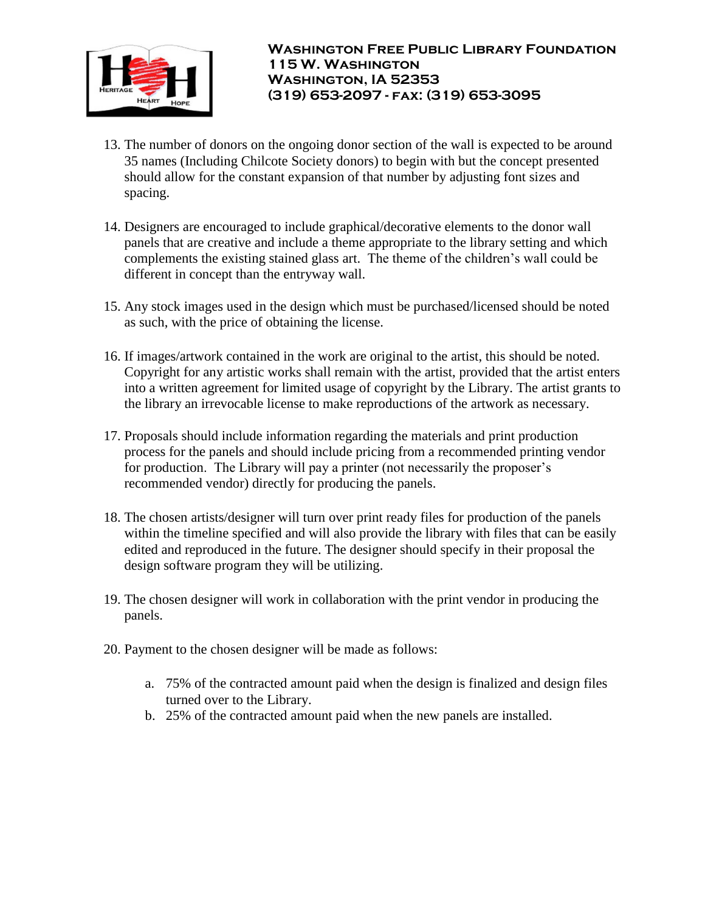

- 13. The number of donors on the ongoing donor section of the wall is expected to be around 35 names (Including Chilcote Society donors) to begin with but the concept presented should allow for the constant expansion of that number by adjusting font sizes and spacing.
- 14. Designers are encouraged to include graphical/decorative elements to the donor wall panels that are creative and include a theme appropriate to the library setting and which complements the existing stained glass art. The theme of the children's wall could be different in concept than the entryway wall.
- 15. Any stock images used in the design which must be purchased/licensed should be noted as such, with the price of obtaining the license.
- 16. If images/artwork contained in the work are original to the artist, this should be noted. Copyright for any artistic works shall remain with the artist, provided that the artist enters into a written agreement for limited usage of copyright by the Library. The artist grants to the library an irrevocable license to make reproductions of the artwork as necessary.
- 17. Proposals should include information regarding the materials and print production process for the panels and should include pricing from a recommended printing vendor for production. The Library will pay a printer (not necessarily the proposer's recommended vendor) directly for producing the panels.
- 18. The chosen artists/designer will turn over print ready files for production of the panels within the timeline specified and will also provide the library with files that can be easily edited and reproduced in the future. The designer should specify in their proposal the design software program they will be utilizing.
- 19. The chosen designer will work in collaboration with the print vendor in producing the panels.
- 20. Payment to the chosen designer will be made as follows:
	- a. 75% of the contracted amount paid when the design is finalized and design files turned over to the Library.
	- b. 25% of the contracted amount paid when the new panels are installed.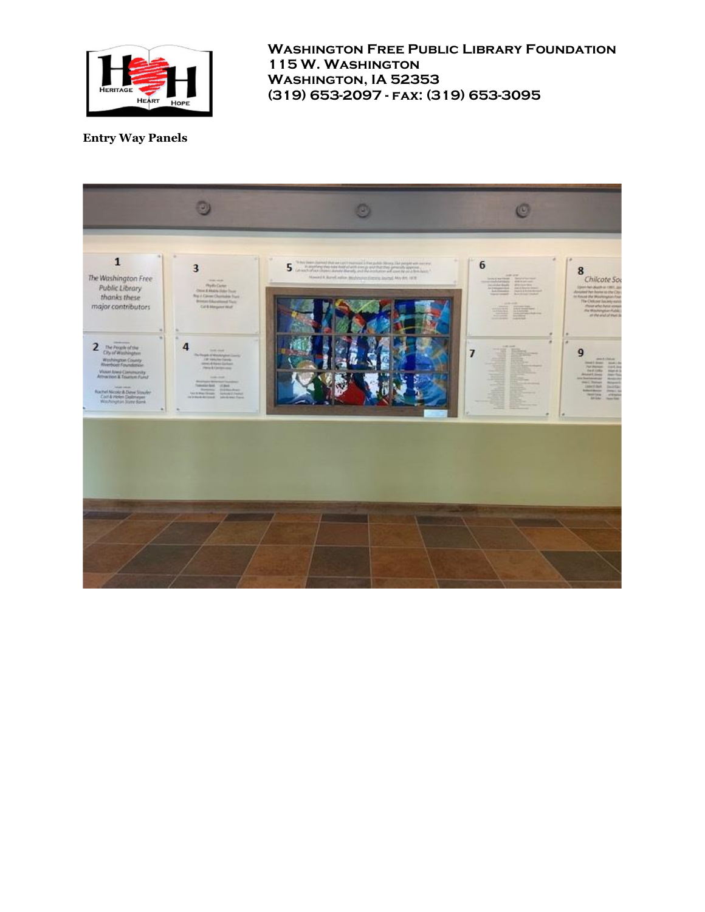

### **Entry Way Panels**

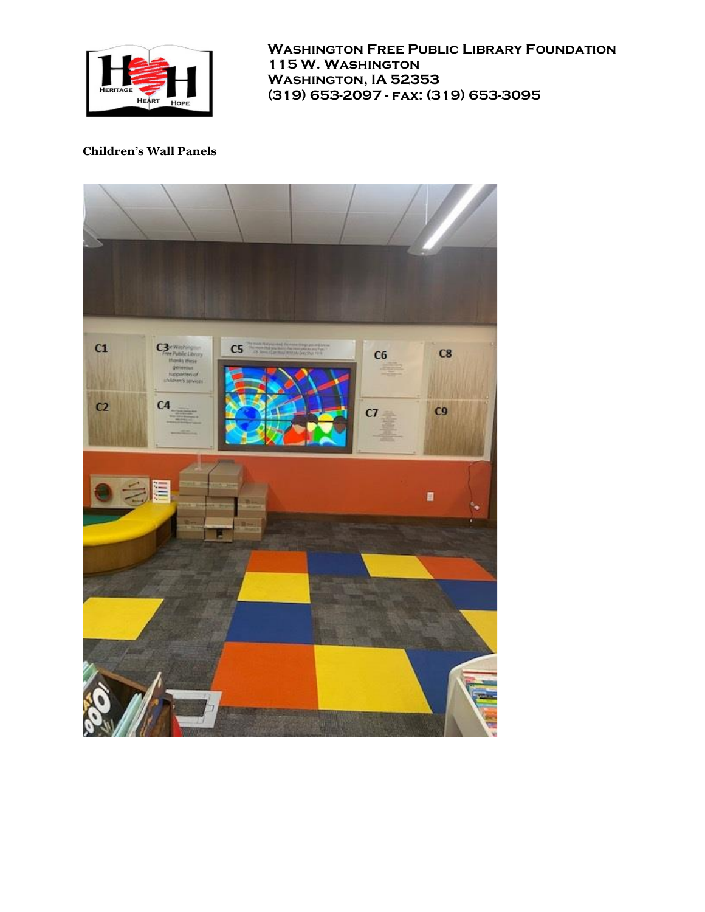

#### **Children's Wall Panels**